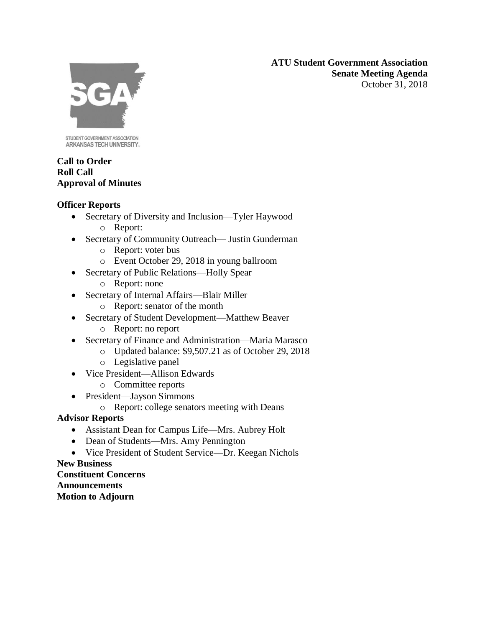**ATU Student Government Association Senate Meeting Agenda** October 31, 2018



STUDENT GOVERNMENT ASSOCIATION ARKANSAS TECH UNIVERSITY.

### **Call to Order Roll Call Approval of Minutes**

## **Officer Reports**

- Secretary of Diversity and Inclusion—Tyler Haywood o Report:
- Secretary of Community Outreach— Justin Gunderman
	- o Report: voter bus
	- o Event October 29, 2018 in young ballroom
- Secretary of Public Relations—Holly Spear
	- o Report: none
- Secretary of Internal Affairs—Blair Miller
	- o Report: senator of the month
- Secretary of Student Development—Matthew Beaver
	- o Report: no report
- Secretary of Finance and Administration—Maria Marasco
	- o Updated balance: \$9,507.21 as of October 29, 2018
	- o Legislative panel
- Vice President—Allison Edwards
	- o Committee reports
- President—Jayson Simmons
	- o Report: college senators meeting with Deans

# **Advisor Reports**

- Assistant Dean for Campus Life—Mrs. Aubrey Holt
- Dean of Students—Mrs. Amy Pennington
- Vice President of Student Service—Dr. Keegan Nichols

# **New Business**

**Constituent Concerns Announcements Motion to Adjourn**